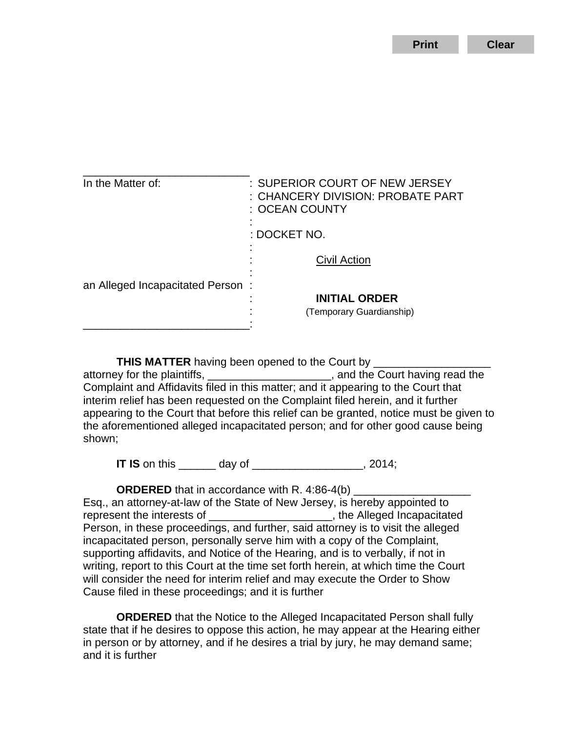**Print Clear**

| In the Matter of:                | : SUPERIOR COURT OF NEW JERSEY<br>: CHANCERY DIVISION: PROBATE PART<br>: OCEAN COUNTY |
|----------------------------------|---------------------------------------------------------------------------------------|
|                                  | : DOCKET NO.                                                                          |
|                                  | Civil Action                                                                          |
| an Alleged Incapacitated Person: | <b>INITIAL ORDER</b><br>(Temporary Guardianship)                                      |
|                                  |                                                                                       |

**THIS MATTER** having been opened to the Court by attorney for the plaintiffs, \_\_\_\_\_\_\_\_\_\_\_\_\_\_\_\_\_\_\_\_\_, and the Court having read the Complaint and Affidavits filed in this matter; and it appearing to the Court that interim relief has been requested on the Complaint filed herein, and it further appearing to the Court that before this relief can be granted, notice must be given to the aforementioned alleged incapacitated person; and for other good cause being shown;

**IT IS** on this \_\_\_\_\_\_ day of \_\_\_\_\_\_\_\_\_\_\_\_\_\_\_\_\_\_, 2014;

**ORDERED** that in accordance with R. 4:86-4(b) Esq., an attorney-at-law of the State of New Jersey, is hereby appointed to represent the interests of  $\blacksquare$ , the Alleged Incapacitated Person, in these proceedings, and further, said attorney is to visit the alleged incapacitated person, personally serve him with a copy of the Complaint, supporting affidavits, and Notice of the Hearing, and is to verbally, if not in writing, report to this Court at the time set forth herein, at which time the Court will consider the need for interim relief and may execute the Order to Show Cause filed in these proceedings; and it is further

**ORDERED** that the Notice to the Alleged Incapacitated Person shall fully state that if he desires to oppose this action, he may appear at the Hearing either in person or by attorney, and if he desires a trial by jury, he may demand same; and it is further